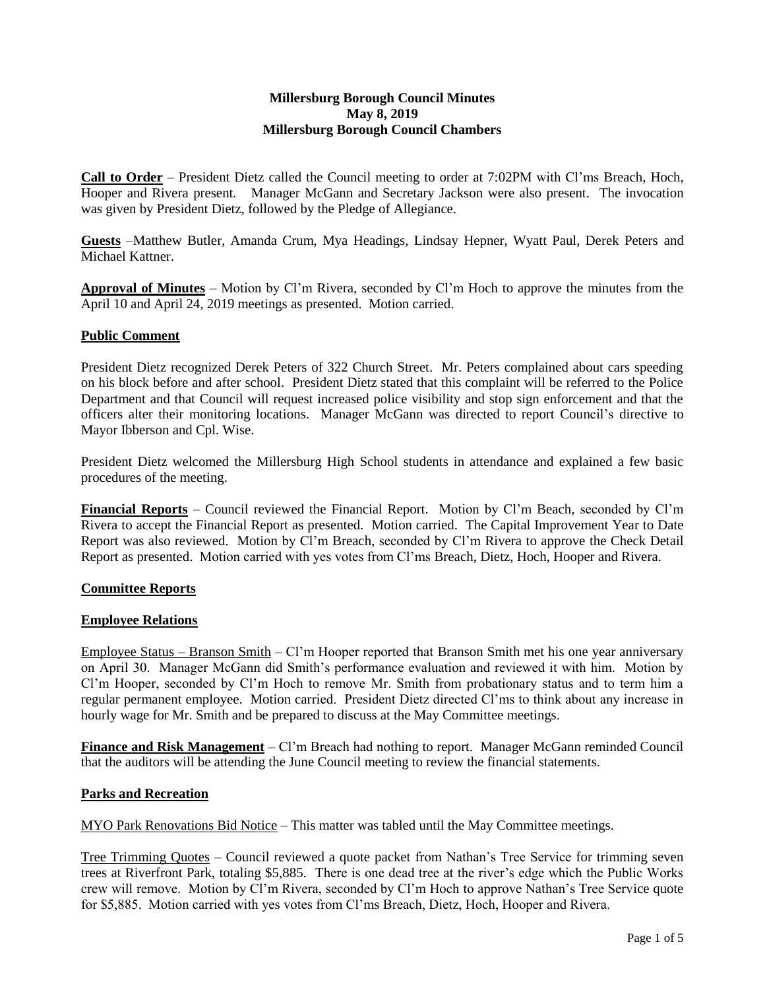## **Millersburg Borough Council Minutes May 8, 2019 Millersburg Borough Council Chambers**

**Call to Order** – President Dietz called the Council meeting to order at 7:02PM with Cl'ms Breach, Hoch, Hooper and Rivera present. Manager McGann and Secretary Jackson were also present. The invocation was given by President Dietz, followed by the Pledge of Allegiance.

**Guests** –Matthew Butler, Amanda Crum, Mya Headings, Lindsay Hepner, Wyatt Paul, Derek Peters and Michael Kattner.

**Approval of Minutes** – Motion by Cl'm Rivera, seconded by Cl'm Hoch to approve the minutes from the April 10 and April 24, 2019 meetings as presented. Motion carried.

## **Public Comment**

President Dietz recognized Derek Peters of 322 Church Street. Mr. Peters complained about cars speeding on his block before and after school. President Dietz stated that this complaint will be referred to the Police Department and that Council will request increased police visibility and stop sign enforcement and that the officers alter their monitoring locations. Manager McGann was directed to report Council's directive to Mayor Ibberson and Cpl. Wise.

President Dietz welcomed the Millersburg High School students in attendance and explained a few basic procedures of the meeting.

**Financial Reports** – Council reviewed the Financial Report. Motion by Cl'm Beach, seconded by Cl'm Rivera to accept the Financial Report as presented. Motion carried. The Capital Improvement Year to Date Report was also reviewed. Motion by Cl'm Breach, seconded by Cl'm Rivera to approve the Check Detail Report as presented. Motion carried with yes votes from Cl'ms Breach, Dietz, Hoch, Hooper and Rivera.

#### **Committee Reports**

## **Employee Relations**

Employee Status – Branson Smith – Cl'm Hooper reported that Branson Smith met his one year anniversary on April 30. Manager McGann did Smith's performance evaluation and reviewed it with him. Motion by Cl'm Hooper, seconded by Cl'm Hoch to remove Mr. Smith from probationary status and to term him a regular permanent employee. Motion carried. President Dietz directed Cl'ms to think about any increase in hourly wage for Mr. Smith and be prepared to discuss at the May Committee meetings.

**Finance and Risk Management** – Cl'm Breach had nothing to report. Manager McGann reminded Council that the auditors will be attending the June Council meeting to review the financial statements.

## **Parks and Recreation**

MYO Park Renovations Bid Notice – This matter was tabled until the May Committee meetings.

Tree Trimming Quotes – Council reviewed a quote packet from Nathan's Tree Service for trimming seven trees at Riverfront Park, totaling \$5,885. There is one dead tree at the river's edge which the Public Works crew will remove. Motion by Cl'm Rivera, seconded by Cl'm Hoch to approve Nathan's Tree Service quote for \$5,885. Motion carried with yes votes from Cl'ms Breach, Dietz, Hoch, Hooper and Rivera.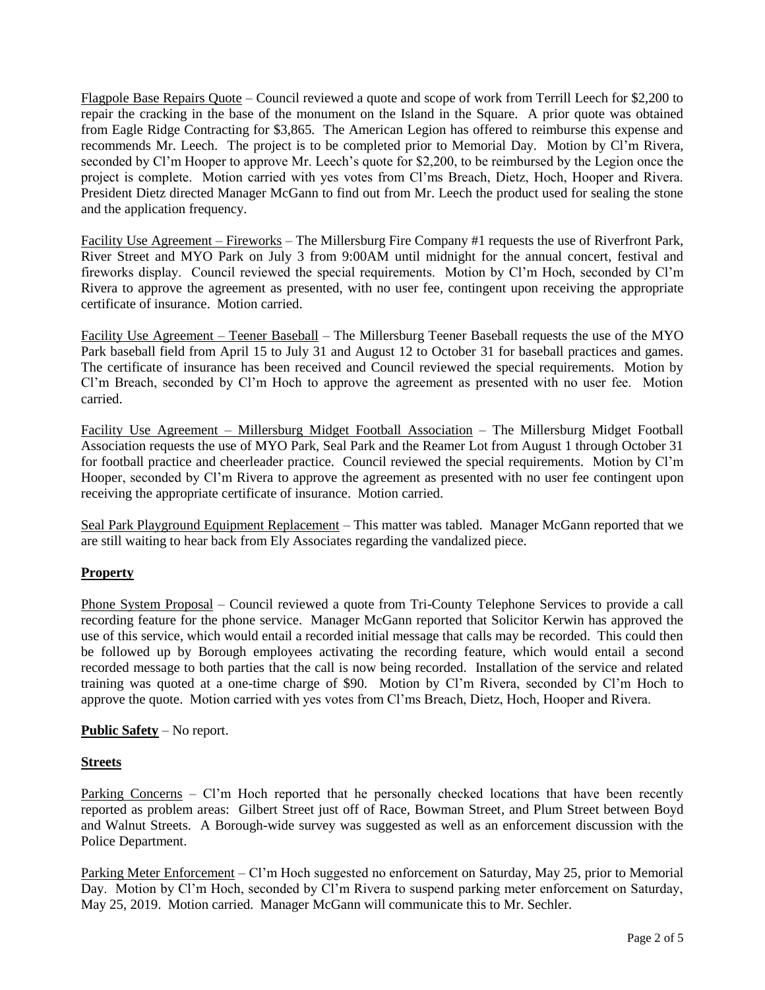Flagpole Base Repairs Quote – Council reviewed a quote and scope of work from Terrill Leech for \$2,200 to repair the cracking in the base of the monument on the Island in the Square. A prior quote was obtained from Eagle Ridge Contracting for \$3,865. The American Legion has offered to reimburse this expense and recommends Mr. Leech. The project is to be completed prior to Memorial Day. Motion by Cl'm Rivera, seconded by Cl'm Hooper to approve Mr. Leech's quote for \$2,200, to be reimbursed by the Legion once the project is complete. Motion carried with yes votes from Cl'ms Breach, Dietz, Hoch, Hooper and Rivera. President Dietz directed Manager McGann to find out from Mr. Leech the product used for sealing the stone and the application frequency.

Facility Use Agreement – Fireworks – The Millersburg Fire Company #1 requests the use of Riverfront Park, River Street and MYO Park on July 3 from 9:00AM until midnight for the annual concert, festival and fireworks display. Council reviewed the special requirements. Motion by Cl'm Hoch, seconded by Cl'm Rivera to approve the agreement as presented, with no user fee, contingent upon receiving the appropriate certificate of insurance. Motion carried.

Facility Use Agreement – Teener Baseball – The Millersburg Teener Baseball requests the use of the MYO Park baseball field from April 15 to July 31 and August 12 to October 31 for baseball practices and games. The certificate of insurance has been received and Council reviewed the special requirements. Motion by Cl'm Breach, seconded by Cl'm Hoch to approve the agreement as presented with no user fee. Motion carried.

Facility Use Agreement – Millersburg Midget Football Association – The Millersburg Midget Football Association requests the use of MYO Park, Seal Park and the Reamer Lot from August 1 through October 31 for football practice and cheerleader practice. Council reviewed the special requirements. Motion by Cl'm Hooper, seconded by Cl'm Rivera to approve the agreement as presented with no user fee contingent upon receiving the appropriate certificate of insurance. Motion carried.

Seal Park Playground Equipment Replacement – This matter was tabled. Manager McGann reported that we are still waiting to hear back from Ely Associates regarding the vandalized piece.

## **Property**

Phone System Proposal – Council reviewed a quote from Tri-County Telephone Services to provide a call recording feature for the phone service. Manager McGann reported that Solicitor Kerwin has approved the use of this service, which would entail a recorded initial message that calls may be recorded. This could then be followed up by Borough employees activating the recording feature, which would entail a second recorded message to both parties that the call is now being recorded. Installation of the service and related training was quoted at a one-time charge of \$90. Motion by Cl'm Rivera, seconded by Cl'm Hoch to approve the quote. Motion carried with yes votes from Cl'ms Breach, Dietz, Hoch, Hooper and Rivera.

## **Public Safety** – No report.

## **Streets**

Parking Concerns – Cl'm Hoch reported that he personally checked locations that have been recently reported as problem areas: Gilbert Street just off of Race, Bowman Street, and Plum Street between Boyd and Walnut Streets. A Borough-wide survey was suggested as well as an enforcement discussion with the Police Department.

Parking Meter Enforcement – Cl'm Hoch suggested no enforcement on Saturday, May 25, prior to Memorial Day. Motion by Cl'm Hoch, seconded by Cl'm Rivera to suspend parking meter enforcement on Saturday, May 25, 2019. Motion carried. Manager McGann will communicate this to Mr. Sechler.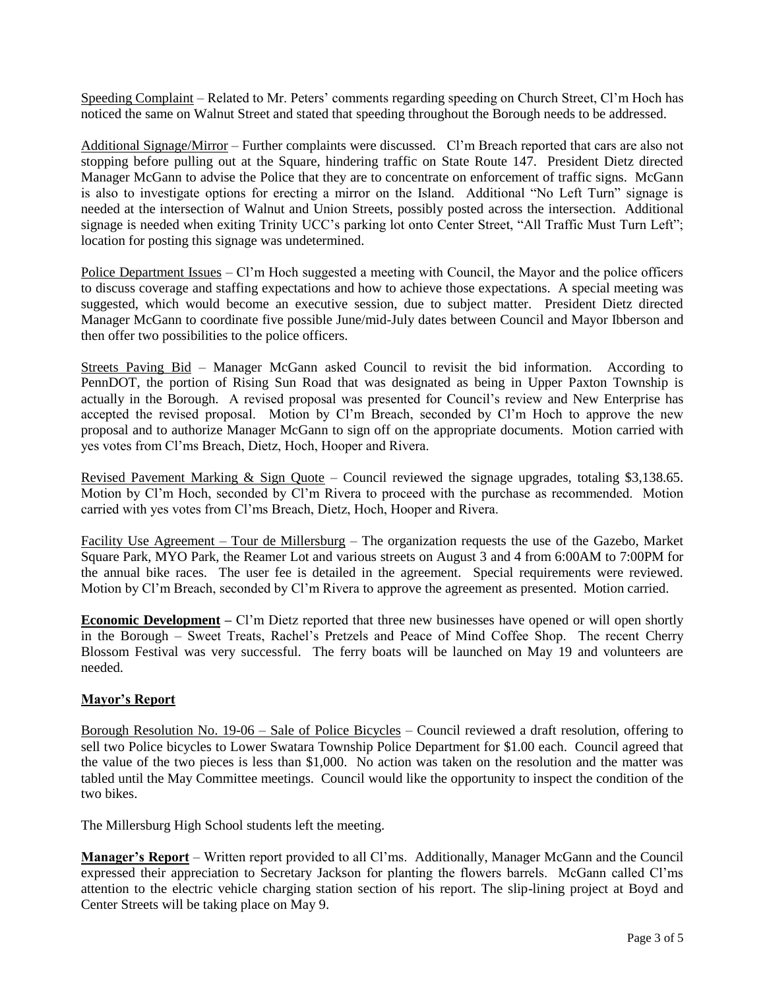Speeding Complaint – Related to Mr. Peters' comments regarding speeding on Church Street, Cl'm Hoch has noticed the same on Walnut Street and stated that speeding throughout the Borough needs to be addressed.

Additional Signage/Mirror – Further complaints were discussed. Cl'm Breach reported that cars are also not stopping before pulling out at the Square, hindering traffic on State Route 147. President Dietz directed Manager McGann to advise the Police that they are to concentrate on enforcement of traffic signs. McGann is also to investigate options for erecting a mirror on the Island. Additional "No Left Turn" signage is needed at the intersection of Walnut and Union Streets, possibly posted across the intersection. Additional signage is needed when exiting Trinity UCC's parking lot onto Center Street, "All Traffic Must Turn Left"; location for posting this signage was undetermined.

Police Department Issues – Cl'm Hoch suggested a meeting with Council, the Mayor and the police officers to discuss coverage and staffing expectations and how to achieve those expectations. A special meeting was suggested, which would become an executive session, due to subject matter. President Dietz directed Manager McGann to coordinate five possible June/mid-July dates between Council and Mayor Ibberson and then offer two possibilities to the police officers.

Streets Paving Bid – Manager McGann asked Council to revisit the bid information. According to PennDOT, the portion of Rising Sun Road that was designated as being in Upper Paxton Township is actually in the Borough. A revised proposal was presented for Council's review and New Enterprise has accepted the revised proposal. Motion by Cl'm Breach, seconded by Cl'm Hoch to approve the new proposal and to authorize Manager McGann to sign off on the appropriate documents. Motion carried with yes votes from Cl'ms Breach, Dietz, Hoch, Hooper and Rivera.

Revised Pavement Marking & Sign Quote – Council reviewed the signage upgrades, totaling \$3,138.65. Motion by Cl'm Hoch, seconded by Cl'm Rivera to proceed with the purchase as recommended. Motion carried with yes votes from Cl'ms Breach, Dietz, Hoch, Hooper and Rivera.

Facility Use Agreement – Tour de Millersburg – The organization requests the use of the Gazebo, Market Square Park, MYO Park, the Reamer Lot and various streets on August 3 and 4 from 6:00AM to 7:00PM for the annual bike races. The user fee is detailed in the agreement. Special requirements were reviewed. Motion by Cl'm Breach, seconded by Cl'm Rivera to approve the agreement as presented. Motion carried.

**Economic Development** – Cl'm Dietz reported that three new businesses have opened or will open shortly in the Borough – Sweet Treats, Rachel's Pretzels and Peace of Mind Coffee Shop. The recent Cherry Blossom Festival was very successful. The ferry boats will be launched on May 19 and volunteers are needed.

## **Mayor's Report**

Borough Resolution No. 19-06 – Sale of Police Bicycles – Council reviewed a draft resolution, offering to sell two Police bicycles to Lower Swatara Township Police Department for \$1.00 each. Council agreed that the value of the two pieces is less than \$1,000. No action was taken on the resolution and the matter was tabled until the May Committee meetings. Council would like the opportunity to inspect the condition of the two bikes.

The Millersburg High School students left the meeting.

**Manager's Report** – Written report provided to all Cl'ms. Additionally, Manager McGann and the Council expressed their appreciation to Secretary Jackson for planting the flowers barrels. McGann called Cl'ms attention to the electric vehicle charging station section of his report. The slip-lining project at Boyd and Center Streets will be taking place on May 9.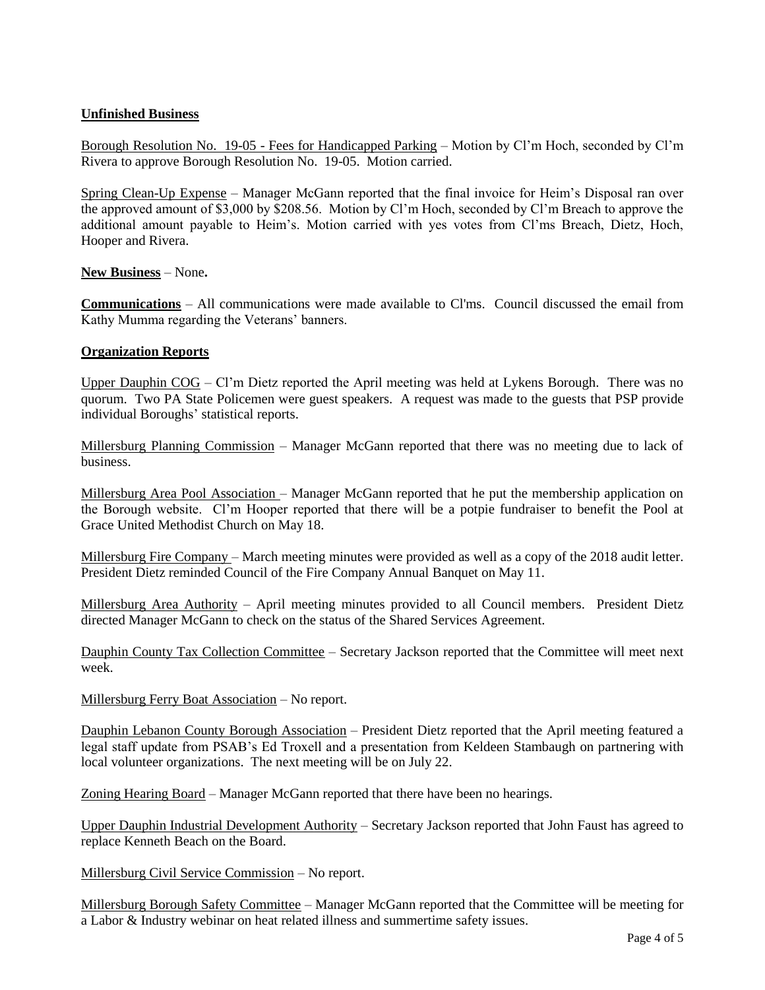# **Unfinished Business**

Borough Resolution No. 19-05 - Fees for Handicapped Parking – Motion by Cl'm Hoch, seconded by Cl'm Rivera to approve Borough Resolution No. 19-05. Motion carried.

Spring Clean-Up Expense – Manager McGann reported that the final invoice for Heim's Disposal ran over the approved amount of \$3,000 by \$208.56. Motion by Cl'm Hoch, seconded by Cl'm Breach to approve the additional amount payable to Heim's. Motion carried with yes votes from Cl'ms Breach, Dietz, Hoch, Hooper and Rivera.

## **New Business** – None**.**

**Communications** – All communications were made available to Cl'ms. Council discussed the email from Kathy Mumma regarding the Veterans' banners.

#### **Organization Reports**

Upper Dauphin COG – Cl'm Dietz reported the April meeting was held at Lykens Borough. There was no quorum. Two PA State Policemen were guest speakers. A request was made to the guests that PSP provide individual Boroughs' statistical reports.

Millersburg Planning Commission - Manager McGann reported that there was no meeting due to lack of business.

Millersburg Area Pool Association – Manager McGann reported that he put the membership application on the Borough website. Cl'm Hooper reported that there will be a potpie fundraiser to benefit the Pool at Grace United Methodist Church on May 18.

Millersburg Fire Company – March meeting minutes were provided as well as a copy of the 2018 audit letter. President Dietz reminded Council of the Fire Company Annual Banquet on May 11.

Millersburg Area Authority – April meeting minutes provided to all Council members. President Dietz directed Manager McGann to check on the status of the Shared Services Agreement.

Dauphin County Tax Collection Committee – Secretary Jackson reported that the Committee will meet next week.

Millersburg Ferry Boat Association – No report.

Dauphin Lebanon County Borough Association – President Dietz reported that the April meeting featured a legal staff update from PSAB's Ed Troxell and a presentation from Keldeen Stambaugh on partnering with local volunteer organizations. The next meeting will be on July 22.

Zoning Hearing Board – Manager McGann reported that there have been no hearings.

Upper Dauphin Industrial Development Authority – Secretary Jackson reported that John Faust has agreed to replace Kenneth Beach on the Board.

Millersburg Civil Service Commission – No report.

Millersburg Borough Safety Committee – Manager McGann reported that the Committee will be meeting for a Labor & Industry webinar on heat related illness and summertime safety issues.